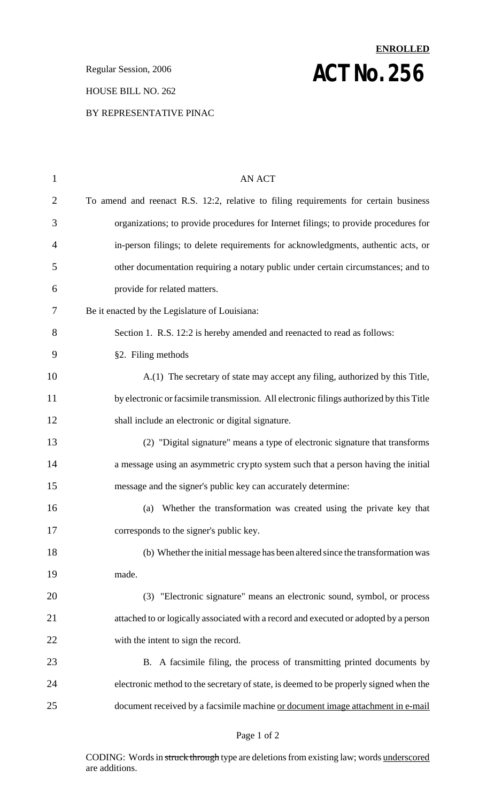**Regular Session, 2006 ACT NO. 256** 

### HOUSE BILL NO. 262

### BY REPRESENTATIVE PINAC

# 1 AN ACT To amend and reenact R.S. 12:2, relative to filing requirements for certain business organizations; to provide procedures for Internet filings; to provide procedures for in-person filings; to delete requirements for acknowledgments, authentic acts, or other documentation requiring a notary public under certain circumstances; and to provide for related matters. Be it enacted by the Legislature of Louisiana: Section 1. R.S. 12:2 is hereby amended and reenacted to read as follows: §2. Filing methods A.(1) The secretary of state may accept any filing, authorized by this Title, by electronic or facsimile transmission. All electronic filings authorized by this Title shall include an electronic or digital signature. (2) "Digital signature" means a type of electronic signature that transforms a message using an asymmetric crypto system such that a person having the initial message and the signer's public key can accurately determine: (a) Whether the transformation was created using the private key that corresponds to the signer's public key. (b) Whether the initial message has been altered since the transformation was made. (3) "Electronic signature" means an electronic sound, symbol, or process attached to or logically associated with a record and executed or adopted by a person with the intent to sign the record. B. A facsimile filing, the process of transmitting printed documents by electronic method to the secretary of state, is deemed to be properly signed when the document received by a facsimile machine or document image attachment in e-mail

**ENROLLED**

#### Page 1 of 2

CODING: Words in struck through type are deletions from existing law; words underscored are additions.